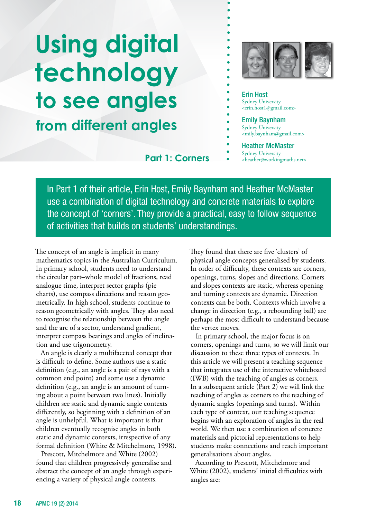# **from different angles Using digital technology to see angles**



## Erin Host Sydney University <erin.host1@gmail.com> Emily Baynham Sydney University <mily.baynham@gmail.com> Heather McMaster **Part 1: Corners**  $\bullet$  Sydney University

In Part 1 of their article, Erin Host, Emily Baynham and Heather McMaster use a combination of digital technology and concrete materials to explore the concept of 'corners'. They provide a practical, easy to follow sequence of activities that builds on students' understandings.

The concept of an angle is implicit in many mathematics topics in the Australian Curriculum. In primary school, students need to understand the circular part–whole model of fractions, read analogue time, interpret sector graphs (pie charts), use compass directions and reason geometrically. In high school, students continue to reason geometrically with angles. They also need to recognise the relationship between the angle and the arc of a sector, understand gradient, interpret compass bearings and angles of inclination and use trigonometry.

An angle is clearly a multifaceted concept that is difficult to define. Some authors use a static definition (e.g., an angle is a pair of rays with a common end point) and some use a dynamic definition (e.g., an angle is an amount of turning about a point between two lines). Initially children see static and dynamic angle contexts differently, so beginning with a definition of an angle is unhelpful. What is important is that children eventually recognise angles in both static and dynamic contexts, irrespective of any formal definition (White & Mitchelmore, 1998).

Prescott, Mitchelmore and White (2002) found that children progressively generalise and abstract the concept of an angle through experiencing a variety of physical angle contexts.

They found that there are five 'clusters' of physical angle concepts generalised by students. In order of difficulty, these contexts are corners, openings, turns, slopes and directions. Corners and slopes contexts are static, whereas opening and turning contexts are dynamic. Direction contexts can be both. Contexts which involve a change in direction (e.g., a rebounding ball) are perhaps the most difficult to understand because the vertex moves.

In primary school, the major focus is on corners, openings and turns, so we will limit our discussion to these three types of contexts. In this article we will present a teaching sequence that integrates use of the interactive whiteboard (IWB) with the teaching of angles as corners. In a subsequent article (Part 2) we will link the teaching of angles as corners to the teaching of dynamic angles (openings and turns). Within each type of context, our teaching sequence begins with an exploration of angles in the real world. We then use a combination of concrete materials and pictorial representations to help students make connections and reach important generalisations about angles.

According to Prescott, Mitchelmore and White (2002), students' initial difficulties with angles are: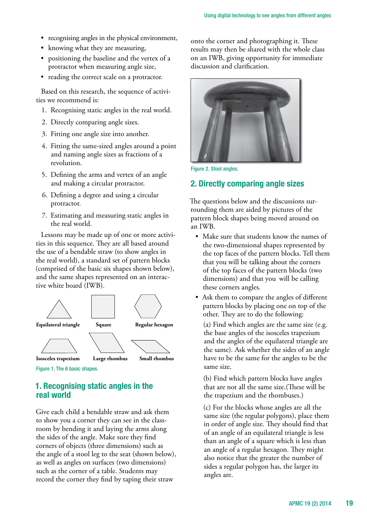- recognising angles in the physical environment,
- knowing what they are measuring,
- • positioning the baseline and the vertex of a protractor when measuring angle size,
- reading the correct scale on a protractor.

Based on this research, the sequence of activities we recommend is:

- 1. Recognising static angles in the real world.
- 2. Directly comparing angle sizes.
- 3. Fitting one angle size into another.
- 4. Fitting the same-sized angles around a point and naming angle sizes as fractions of a revolution.
- 5. Defining the arms and vertex of an angle and making a circular protractor.
- 6. Defining a degree and using a circular protractor.
- 7. Estimating and measuring static angles in the real world.

Lessons may be made up of one or more activities in this sequence. They are all based around the use of a bendable straw (to show angles in the real world), a standard set of pattern blocks (comprised of the basic six shapes shown below), and the same shapes represented on an interactive white board (IWB).



Figure 1. The 6 basic shapes.

## **1. Recognising static angles in the real world**

Give each child a bendable straw and ask them to show you a corner they can see in the classroom by bending it and laying the arms along the sides of the angle. Make sure they find corners of objects (three dimensions) such as the angle of a stool leg to the seat (shown below), as well as angles on surfaces (two dimensions) such as the corner of a table. Students may record the corner they find by taping their straw

onto the corner and photographing it. These results may then be shared with the whole class on an IWB, giving opportunity for immediate discussion and clarification.



Figure 2. Stool angles.

## **2. Directly comparing angle sizes**

The questions below and the discussions surrounding them are aided by pictures of the pattern block shapes being moved around on an IWB.

- Make sure that students know the names of the two-dimensional shapes represented by the top faces of the pattern blocks. Tell them that you will be talking about the corners of the top faces of the pattern blocks (two dimensions) and that you will be calling these corners angles.
- Ask them to compare the angles of different pattern blocks by placing one on top of the other. They are to do the following:

(a) Find which angles are the same size (e.g. the base angles of the isosceles trapezium and the angles of the equilateral triangle are the same). Ask whether the sides of an angle have to be the same for the angles to be the same size.

(b) Find which pattern blocks have angles that are not all the same size.(These will be the trapezium and the rhombuses.)

(c) For the blocks whose angles are all the same size (the regular polygons), place them in order of angle size. They should find that of an angle of an equilateral triangle is less than an angle of a square which is less than an angle of a regular hexagon. They might also notice that the greater the number of sides a regular polygon has, the larger its angles are.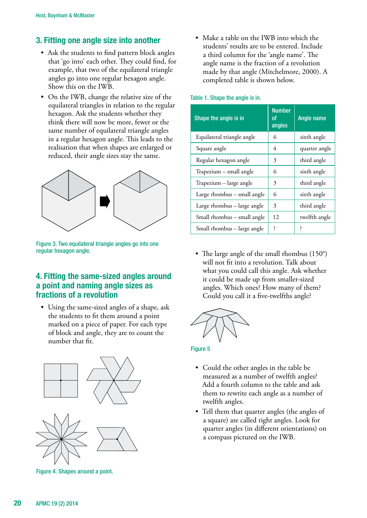# **3. Fitting one angle size into another**

- Ask the students to find pattern block angles that 'go into' each other. They could find, for example, that two of the equilateral triangle angles go into one regular hexagon angle. Show this on the IWB.
- On the IWB, change the relative size of the equilateral triangles in relation to the regular hexagon. Ask the students whether they think there will now be more, fewer or the same number of equilateral triangle angles in a regular hexagon angle. This leads to the realisation that when shapes are enlarged or reduced, their angle sizes stay the same.



Figure 3. Two equilateral triangle angles go into one regular hexagon angle.

# **4. Fitting the same-sized angles around a point and naming angle sizes as fractions of a revolution**

• Using the same-sized angles of a shape, ask the students to fit them around a point marked on a piece of paper. For each type of block and angle, they are to count the number that fit.



Figure 4. Shapes around a point.

• Make a table on the IWB into which the students' results are to be entered. Include a third column for the 'angle name'. The angle name is the fraction of a revolution made by that angle (Mitchelmore, 2000). A completed table is shown below.

#### Table 1. Shape the angle is in.

| Shape the angle is in       | <b>Number</b><br>οf<br>angles | Angle name    |
|-----------------------------|-------------------------------|---------------|
| Equilateral triangle angle  | 6                             | sixth angle   |
| Square angle                | 4                             | quarter angle |
| Regular hexagon angle       | 3                             | third angle   |
| Trapezium - small angle     | 6                             | sixth angle   |
| Trapezium - large angle     | 3                             | third angle   |
| Large rhombus - small angle | 6                             | sixth angle   |
| Large rhombus - large angle | 3                             | third angle   |
| Small rhombus - small angle | 12                            | twelfth angle |
| Small rhombus - large angle | ŗ                             | ζ             |

• The large angle of the small rhombus  $(150^{\circ})$ will not fit into a revolution. Talk about what you could call this angle. Ask whether it could be made up from smaller-sized angles. Which ones? How many of them? Could you call it a five-twelfths angle?



### **Figure 5**

- Could the other angles in the table be measured as a number of twelfth angles? Add a fourth column to the table and ask them to rewrite each angle as a number of twelfth angles.
- Tell them that quarter angles (the angles of a square) are called right angles. Look for quarter angles (in different orientations) on a compass pictured on the IWB.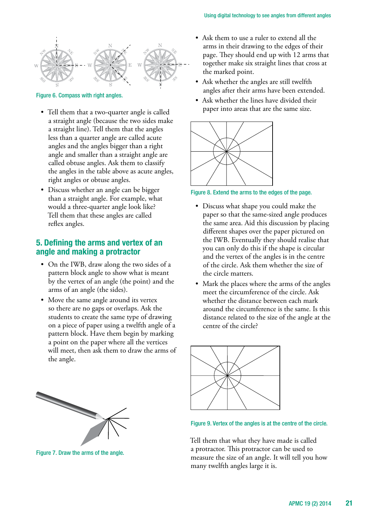

Figure 6. Compass with right angles.

- Tell them that a two-quarter angle is called a straight angle (because the two sides make a straight line). Tell them that the angles less than a quarter angle are called acute angles and the angles bigger than a right angle and smaller than a straight angle are called obtuse angles. Ask them to classify the angles in the table above as acute angles, right angles or obtuse angles.
- Discuss whether an angle can be bigger than a straight angle. For example, what would a three-quarter angle look like? Tell them that these angles are called reflex angles.

## **5. Defining the arms and vertex of an angle and making a protractor**

- On the IWB, draw along the two sides of a pattern block angle to show what is meant by the vertex of an angle (the point) and the arms of an angle (the sides).
- Move the same angle around its vertex so there are no gaps or overlaps. Ask the students to create the same type of drawing on a piece of paper using a twelfth angle of a pattern block. Have them begin by marking a point on the paper where all the vertices will meet, then ask them to draw the arms of the angle.
- Ask them to use a ruler to extend all the arms in their drawing to the edges of their page. They should end up with 12 arms that together make six straight lines that cross at the marked point.
- Ask whether the angles are still twelfth angles after their arms have been extended.
- Ask whether the lines have divided their paper into areas that are the same size.



Figure 8. Extend the arms to the edges of the page.

- Discuss what shape you could make the paper so that the same-sized angle produces the same area. Aid this discussion by placing different shapes over the paper pictured on the IWB. Eventually they should realise that you can only do this if the shape is circular and the vertex of the angles is in the centre of the circle. Ask them whether the size of the circle matters.
- Mark the places where the arms of the angles meet the circumference of the circle. Ask whether the distance between each mark around the circumference is the same. Is this distance related to the size of the angle at the centre of the circle?



#### Figure 9. Vertex of the angles is at the centre of the circle.

Tell them that what they have made is called a protractor. This protractor can be used to measure the size of an angle. It will tell you how many twelfth angles large it is.



Figure 7. Draw the arms of the angle.